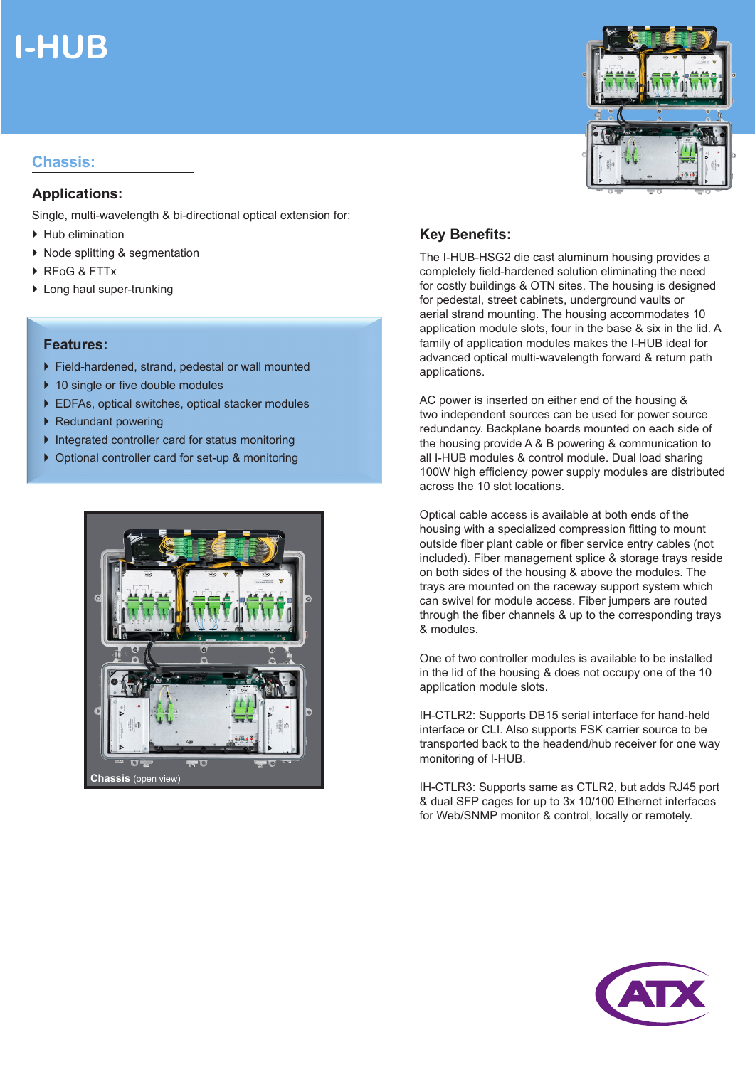# **I-HUB**

### **Chassis:**

#### **Applications:**

Single, multi-wavelength & bi-directional optical extension for:

- Hub elimination
- ▶ Node splitting & segmentation
- ▶ RFoG & FTTx
- ▶ Long haul super-trunking

#### **Features:**

- Field-hardened, strand, pedestal or wall mounted
- ▶ 10 single or five double modules
- ▶ EDFAs, optical switches, optical stacker modules
- ▶ Redundant powering
- $\blacktriangleright$  Integrated controller card for status monitoring
- ▶ Optional controller card for set-up & monitoring





### **Key Benefits:**

The I-HUB-HSG2 die cast aluminum housing provides a completely field-hardened solution eliminating the need for costly buildings & OTN sites. The housing is designed for pedestal, street cabinets, underground vaults or aerial strand mounting. The housing accommodates 10 application module slots, four in the base & six in the lid. A family of application modules makes the I-HUB ideal for advanced optical multi-wavelength forward & return path applications.

AC power is inserted on either end of the housing & two independent sources can be used for power source redundancy. Backplane boards mounted on each side of the housing provide A & B powering & communication to all I-HUB modules & control module. Dual load sharing 100W high efficiency power supply modules are distributed across the 10 slot locations.

Optical cable access is available at both ends of the housing with a specialized compression fitting to mount outside fiber plant cable or fiber service entry cables (not included). Fiber management splice & storage trays reside on both sides of the housing & above the modules. The trays are mounted on the raceway support system which can swivel for module access. Fiber jumpers are routed through the fiber channels & up to the corresponding trays & modules.

One of two controller modules is available to be installed in the lid of the housing & does not occupy one of the 10 application module slots.

IH-CTLR2: Supports DB15 serial interface for hand-held interface or CLI. Also supports FSK carrier source to be transported back to the headend/hub receiver for one way monitoring of I-HUB.

IH-CTLR3: Supports same as CTLR2, but adds RJ45 port & dual SFP cages for up to 3x 10/100 Ethernet interfaces for Web/SNMP monitor & control, locally or remotely.